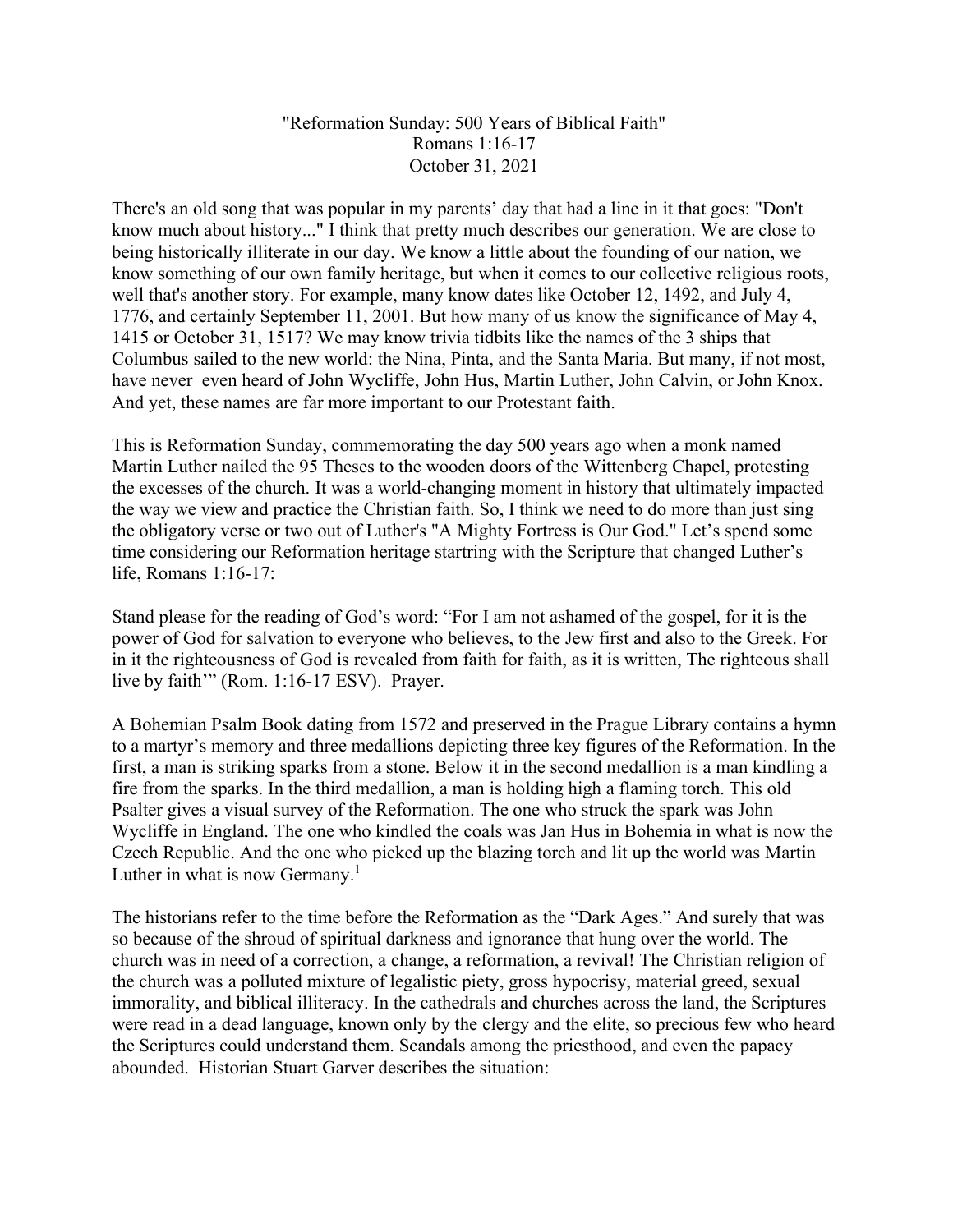"Reformation Sunday: 500 Years of Biblical Faith" Romans 1:16-17 October 31, 2021

There's an old song that was popular in my parents' day that had a line in it that goes: "Don't know much about history..." I think that pretty much describes our generation. We are close to being historically illiterate in our day. We know a little about the founding of our nation, we know something of our own family heritage, but when it comes to our collective religious roots, well that's another story. For example, many know dates like October 12, 1492, and July 4, 1776, and certainly September 11, 2001. But how many of us know the significance of May 4, 1415 or October 31, 1517? We may know trivia tidbits like the names of the 3 ships that Columbus sailed to the new world: the Nina, Pinta, and the Santa Maria. But many, if not most, have never even heard of John Wycliffe, John Hus, Martin Luther, John Calvin, or John Knox. And yet, these names are far more important to our Protestant faith.

This is Reformation Sunday, commemorating the day 500 years ago when a monk named Martin Luther nailed the 95 Theses to the wooden doors of the Wittenberg Chapel, protesting the excesses of the church. It was a world-changing moment in history that ultimately impacted the way we view and practice the Christian faith. So, I think we need to do more than just sing the obligatory verse or two out of Luther's "A Mighty Fortress is Our God." Let's spend some time considering our Reformation heritage startring with the Scripture that changed Luther's life, Romans 1:16-17:

Stand please for the reading of God's word: "For I am not ashamed of the gospel, for it is the power of God for salvation to everyone who believes, to the Jew first and also to the Greek. For in it the righteousness of God is revealed from faith for faith, as it is written, The righteous shall live by faith" (Rom. 1:16-17 ESV). Prayer.

A Bohemian Psalm Book dating from 1572 and preserved in the Prague Library contains a hymn to a martyr's memory and three medallions depicting three key figures of the Reformation. In the first, a man is striking sparks from a stone. Below it in the second medallion is a man kindling a fire from the sparks. In the third medallion, a man is holding high a flaming torch. This old Psalter gives a visual survey of the Reformation. The one who struck the spark was John Wycliffe in England. The one who kindled the coals was Jan Hus in Bohemia in what is now the Czech Republic. And the one who picked up the blazing torch and lit up the world was Martin Luther in what is now Germany.<sup>1</sup>

The historians refer to the time before the Reformation as the "Dark Ages." And surely that was so because of the shroud of spiritual darkness and ignorance that hung over the world. The church was in need of a correction, a change, a reformation, a revival! The Christian religion of the church was a polluted mixture of legalistic piety, gross hypocrisy, material greed, sexual immorality, and biblical illiteracy. In the cathedrals and churches across the land, the Scriptures were read in a dead language, known only by the clergy and the elite, so precious few who heard the Scriptures could understand them. Scandals among the priesthood, and even the papacy abounded. Historian Stuart Garver describes the situation: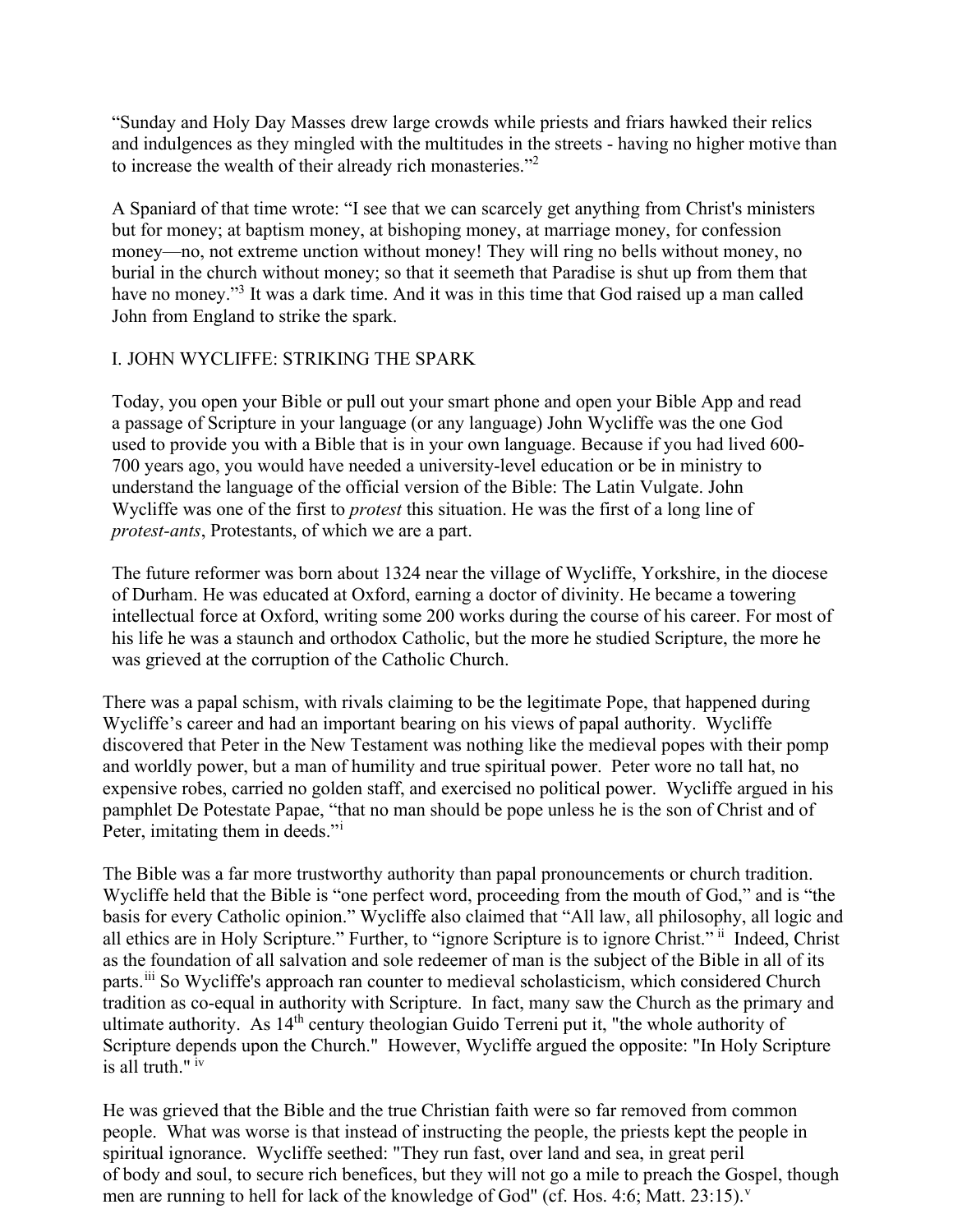"Sunday and Holy Day Masses drew large crowds while priests and friars hawked their relics and indulgences as they mingled with the multitudes in the streets - having no higher motive than to increase the wealth of their already rich monasteries."2

A Spaniard of that time wrote: "I see that we can scarcely get anything from Christ's ministers but for money; at baptism money, at bishoping money, at marriage money, for confession money—no, not extreme unction without money! They will ring no bells without money, no burial in the church without money; so that it seemeth that Paradise is shut up from them that have no money."<sup>3</sup> It was a dark time. And it was in this time that God raised up a man called John from England to strike the spark.

## I. JOHN WYCLIFFE: STRIKING THE SPARK

Today, you open your Bible or pull out your smart phone and open your Bible App and read a passage of Scripture in your language (or any language) John Wycliffe was the one God used to provide you with a Bible that is in your own language. Because if you had lived 600- 700 years ago, you would have needed a university-level education or be in ministry to understand the language of the official version of the Bible: The Latin Vulgate. John Wycliffe was one of the first to *protest* this situation. He was the first of a long line of *protest-ants*, Protestants, of which we are a part.

The future reformer was born about 1324 near the village of Wycliffe, Yorkshire, in the diocese of Durham. He was educated at Oxford, earning a doctor of divinity. He became a towering intellectual force at Oxford, writing some 200 works during the course of his career. For most of his life he was a staunch and orthodox Catholic, but the more he studied Scripture, the more he was grieved at the corruption of the Catholic Church.

There was a papal schism, with rivals claiming to be the legitimate Pope, that happened during Wycliffe's career and had an important bearing on his views of papal authority. Wycliffe discovered that Peter in the New Testament was nothing like the medieval popes with their pomp and worldly power, but a man of humility and true spiritual power. Peter wore no tall hat, no expensive robes, carried no golden staff, and exercised no political power. Wycliffe argued in his pamphlet De Potestate Papae, "that no man should be pope unless he is the son of Christ and of Peter, imitating them in deeds."[i](#page-11-0)

The Bible was a far more trustworthy authority than papal pronouncements or church tradition. Wycliffe held that the Bible is "one perfect word, proceeding from the mouth of God," and is "the basis for every Catholic opinion." Wycliffe also claimed that "All law, all philosophy, all logic and all ethics are in Holy Scripture." Further, to "ignore Scripture is to ignore Christ." [ii](#page-11-1)Indeed, Christ as the foundation of all salvation and sole redeemer of man is the subject of the Bible in all of its parts.<sup>[iii](#page-11-2)</sup> So Wycliffe's approach ran counter to medieval scholasticism, which considered Church tradition as co-equal in authority with Scripture. In fact, many saw the Church as the primary and ultimate authority. As 14<sup>th</sup> century theologian Guido Terreni put it, "the whole authority of Scripture depends upon the Church." However, Wycliffe argued the opposite: "In Holy Scripture is all truth." [iv](#page-11-3)

He was grieved that the Bible and the true Christian faith were so far removed from common people. What was worse is that instead of instructing the people, the priests kept the people in spiritual ignorance. Wycliffe seethed: "They run fast, over land and sea, in great peril of body and soul, to secure rich benefices, but they will not go a mile to preach the Gospel, though men are running to hell for lack of the knowledge of God" (cf. Hos. 4:6; Matt.  $23:15$ ).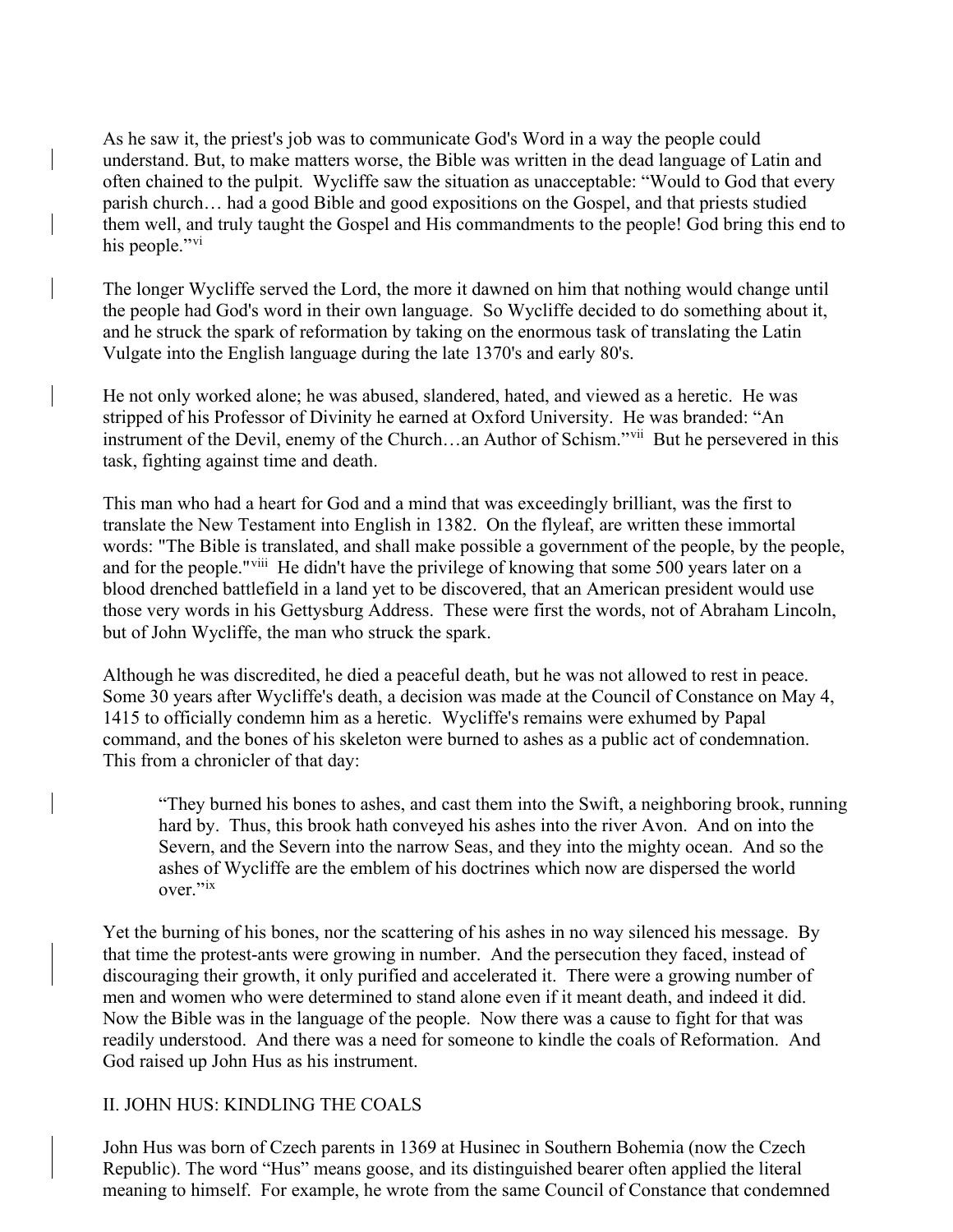As he saw it, the priest's job was to communicate God's Word in a way the people could understand. But, to make matters worse, the Bible was written in the dead language of Latin and often chained to the pulpit. Wycliffe saw the situation as unacceptable: "Would to God that every parish church… had a good Bible and good expositions on the Gospel, and that priests studied them well, and truly taught the Gospel and His commandments to the people! God bring this end to his people."<sup>[vi](#page-11-5)</sup>

The longer Wycliffe served the Lord, the more it dawned on him that nothing would change until the people had God's word in their own language. So Wycliffe decided to do something about it, and he struck the spark of reformation by taking on the enormous task of translating the Latin Vulgate into the English language during the late 1370's and early 80's.

He not only worked alone; he was abused, slandered, hated, and viewed as a heretic. He was stripped of his Professor of Divinity he earned at Oxford University. He was branded: "An instrument of the Devil, enemy of the Church…an Author of Schism."[vii](#page-11-6) But he persevered in this task, fighting against time and death.

This man who had a heart for God and a mind that was exceedingly brilliant, was the first to translate the New Testament into English in 1382. On the flyleaf, are written these immortal words: "The Bible is translated, and shall make possible a government of the people, by the people, and for the people."[viii](#page-11-7) He didn't have the privilege of knowing that some 500 years later on a blood drenched battlefield in a land yet to be discovered, that an American president would use those very words in his Gettysburg Address. These were first the words, not of Abraham Lincoln, but of John Wycliffe, the man who struck the spark.

Although he was discredited, he died a peaceful death, but he was not allowed to rest in peace. Some 30 years after Wycliffe's death, a decision was made at the Council of Constance on May 4, 1415 to officially condemn him as a heretic. Wycliffe's remains were exhumed by Papal command, and the bones of his skeleton were burned to ashes as a public act of condemnation. This from a chronicler of that day:

"They burned his bones to ashes, and cast them into the Swift, a neighboring brook, running hard by. Thus, this brook hath conveyed his ashes into the river Avon. And on into the Severn, and the Severn into the narrow Seas, and they into the mighty ocean. And so the ashes of Wycliffe are the emblem of his doctrines which now are dispersed the world over."<sup>[ix](#page-12-0)</sup>

Yet the burning of his bones, nor the scattering of his ashes in no way silenced his message. By that time the protest-ants were growing in number. And the persecution they faced, instead of discouraging their growth, it only purified and accelerated it. There were a growing number of men and women who were determined to stand alone even if it meant death, and indeed it did. Now the Bible was in the language of the people. Now there was a cause to fight for that was readily understood. And there was a need for someone to kindle the coals of Reformation. And God raised up John Hus as his instrument.

## II. JOHN HUS: KINDLING THE COALS

John Hus was born of Czech parents in 1369 at Husinec in Southern Bohemia (now the Czech Republic). The word "Hus" means goose, and its distinguished bearer often applied the literal meaning to himself. For example, he wrote from the same Council of Constance that condemned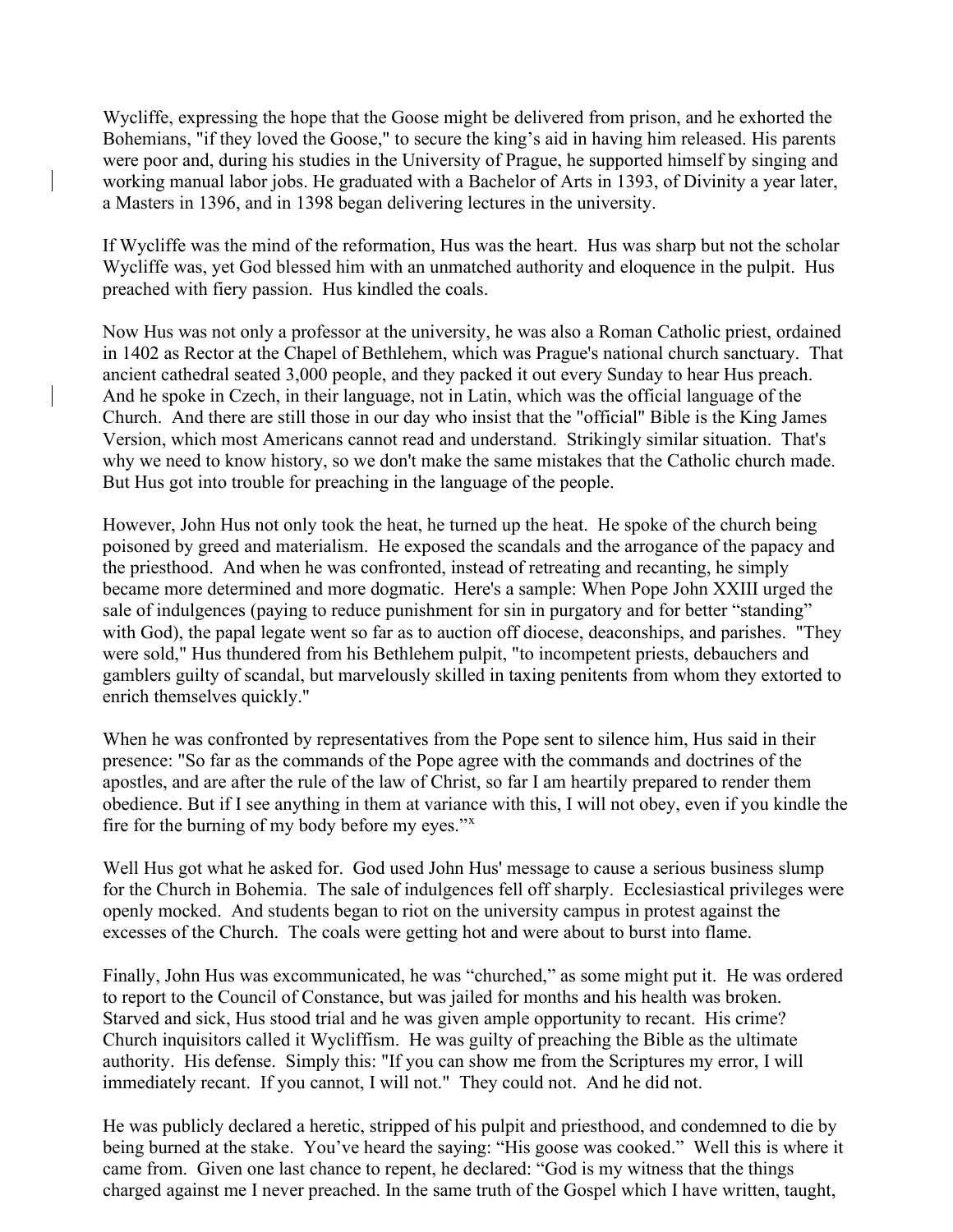Wycliffe, expressing the hope that the Goose might be delivered from prison, and he exhorted the Bohemians, "if they loved the Goose," to secure the king's aid in having him released. His parents were poor and, during his studies in the University of Prague, he supported himself by singing and working manual labor jobs. He graduated with a Bachelor of Arts in 1393, of Divinity a year later, a Masters in 1396, and in 1398 began delivering lectures in the university.

If Wycliffe was the mind of the reformation, Hus was the heart. Hus was sharp but not the scholar Wycliffe was, yet God blessed him with an unmatched authority and eloquence in the pulpit. Hus preached with fiery passion. Hus kindled the coals.

Now Hus was not only a professor at the university, he was also a Roman Catholic priest, ordained in 1402 as Rector at the Chapel of Bethlehem, which was Prague's national church sanctuary. That ancient cathedral seated 3,000 people, and they packed it out every Sunday to hear Hus preach. And he spoke in Czech, in their language, not in Latin, which was the official language of the Church. And there are still those in our day who insist that the "official" Bible is the King James Version, which most Americans cannot read and understand. Strikingly similar situation. That's why we need to know history, so we don't make the same mistakes that the Catholic church made. But Hus got into trouble for preaching in the language of the people.

However, John Hus not only took the heat, he turned up the heat. He spoke of the church being poisoned by greed and materialism. He exposed the scandals and the arrogance of the papacy and the priesthood. And when he was confronted, instead of retreating and recanting, he simply became more determined and more dogmatic. Here's a sample: When Pope John XXIII urged the sale of indulgences (paying to reduce punishment for sin in purgatory and for better "standing" with God), the papal legate went so far as to auction off diocese, deaconships, and parishes. "They were sold," Hus thundered from his Bethlehem pulpit, "to incompetent priests, debauchers and gamblers guilty of scandal, but marvelously skilled in taxing penitents from whom they extorted to enrich themselves quickly."

When he was confronted by representatives from the Pope sent to silence him, Hus said in their presence: "So far as the commands of the Pope agree with the commands and doctrines of the apostles, and are after the rule of the law of Christ, so far I am heartily prepared to render them obedience. But if I see anything in them at variance with this, I will not obey, even if you kindle the fire for the burning of my body before my eyes."[x](#page-12-1)

Well Hus got what he asked for. God used John Hus' message to cause a serious business slump for the Church in Bohemia. The sale of indulgences fell off sharply. Ecclesiastical privileges were openly mocked. And students began to riot on the university campus in protest against the excesses of the Church. The coals were getting hot and were about to burst into flame.

Finally, John Hus was excommunicated, he was "churched," as some might put it. He was ordered to report to the Council of Constance, but was jailed for months and his health was broken. Starved and sick, Hus stood trial and he was given ample opportunity to recant. His crime? Church inquisitors called it Wycliffism. He was guilty of preaching the Bible as the ultimate authority. His defense. Simply this: "If you can show me from the Scriptures my error, I will immediately recant. If you cannot, I will not." They could not. And he did not.

He was publicly declared a heretic, stripped of his pulpit and priesthood, and condemned to die by being burned at the stake. You've heard the saying: "His goose was cooked." Well this is where it came from. Given one last chance to repent, he declared: "God is my witness that the things charged against me I never preached. In the same truth of the Gospel which I have written, taught,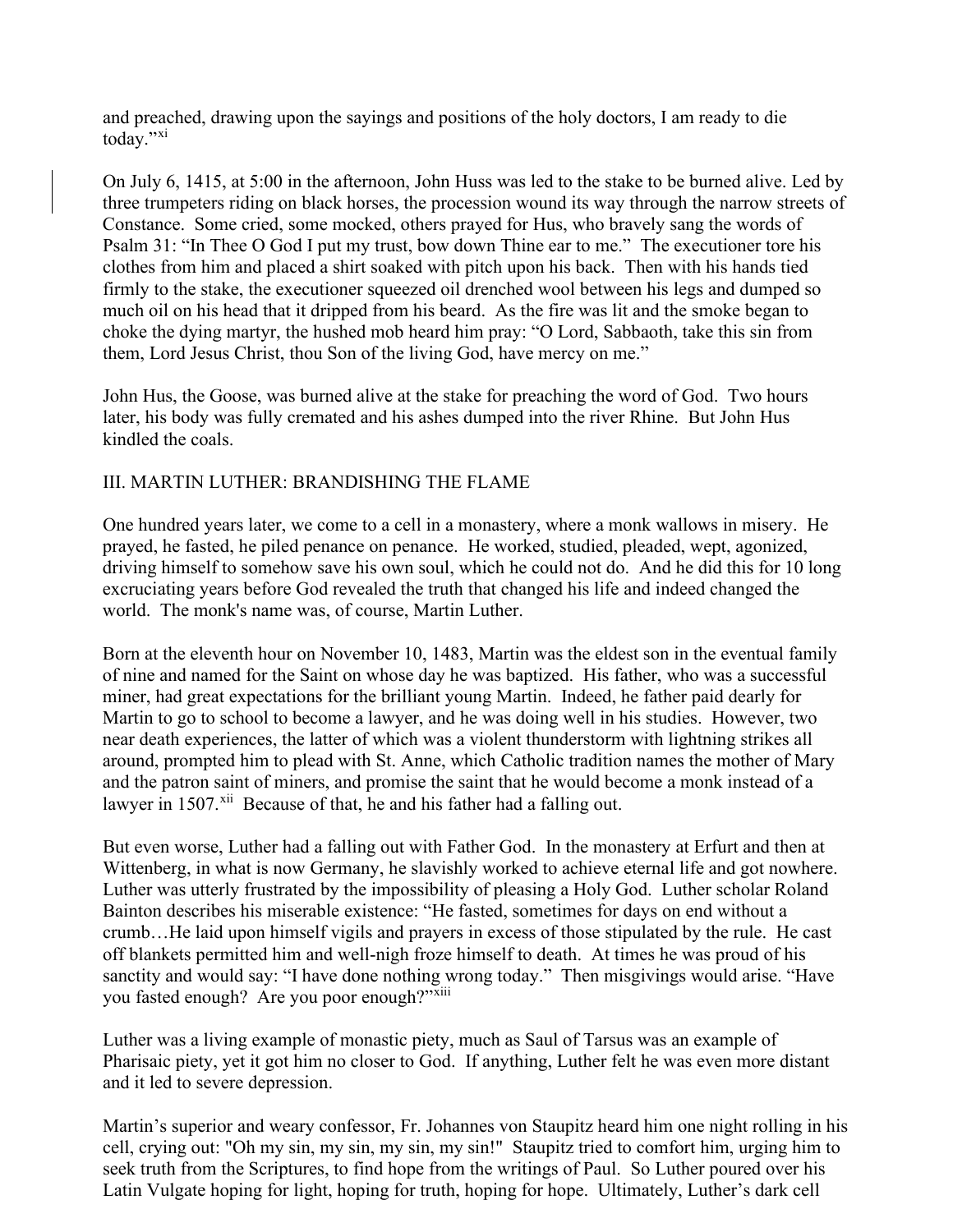and preached, drawing upon the sayings and positions of the holy doctors, I am ready to die today."xi

On July 6, 1415, at 5:00 in the afternoon, John Huss was led to the stake to be burned alive. Led by three trumpeters riding on black horses, the procession wound its way through the narrow streets of Constance. Some cried, some mocked, others prayed for Hus, who bravely sang the words of Psalm 31: "In Thee O God I put my trust, bow down Thine ear to me." The executioner tore his clothes from him and placed a shirt soaked with pitch upon his back. Then with his hands tied firmly to the stake, the executioner squeezed oil drenched wool between his legs and dumped so much oil on his head that it dripped from his beard. As the fire was lit and the smoke began to choke the dying martyr, the hushed mob heard him pray: "O Lord, Sabbaoth, take this sin from them, Lord Jesus Christ, thou Son of the living God, have mercy on me."

John Hus, the Goose, was burned alive at the stake for preaching the word of God. Two hours later, his body was fully cremated and his ashes dumped into the river Rhine. But John Hus kindled the coals.

## III. MARTIN LUTHER: BRANDISHING THE FLAME

One hundred years later, we come to a cell in a monastery, where a monk wallows in misery. He prayed, he fasted, he piled penance on penance. He worked, studied, pleaded, wept, agonized, driving himself to somehow save his own soul, which he could not do. And he did this for 10 long excruciating years before God revealed the truth that changed his life and indeed changed the world. The monk's name was, of course, Martin Luther.

Born at the eleventh hour on November 10, 1483, Martin was the eldest son in the eventual family of nine and named for the Saint on whose day he was baptized. His father, who was a successful miner, had great expectations for the brilliant young Martin. Indeed, he father paid dearly for Martin to go to school to become a lawyer, and he was doing well in his studies. However, two near death experiences, the latter of which was a violent thunderstorm with lightning strikes all around, prompted him to plead with St. Anne, which Catholic tradition names the mother of Mary and the patron saint of miners, and promise the saint that he would become a monk instead of a lawyer in 1507.<sup>[xii](#page-12-3)</sup> Because of that, he and his father had a falling out.

But even worse, Luther had a falling out with Father God. In the monastery at Erfurt and then at Wittenberg, in what is now Germany, he slavishly worked to achieve eternal life and got nowhere. Luther was utterly frustrated by the impossibility of pleasing a Holy God. Luther scholar Roland Bainton describes his miserable existence: "He fasted, sometimes for days on end without a crumb…He laid upon himself vigils and prayers in excess of those stipulated by the rule. He cast off blankets permitted him and well-nigh froze himself to death. At times he was proud of his sanctity and would say: "I have done nothing wrong today." Then misgivings would arise. "Have you fasted enough? Are you poor enough?"<sup>[xiii](#page-12-4)</sup>

Luther was a living example of monastic piety, much as Saul of Tarsus was an example of Pharisaic piety, yet it got him no closer to God. If anything, Luther felt he was even more distant and it led to severe depression.

Martin's superior and weary confessor, Fr. Johannes von Staupitz heard him one night rolling in his cell, crying out: "Oh my sin, my sin, my sin, my sin!" Staupitz tried to comfort him, urging him to seek truth from the Scriptures, to find hope from the writings of Paul. So Luther poured over his Latin Vulgate hoping for light, hoping for truth, hoping for hope. Ultimately, Luther's dark cell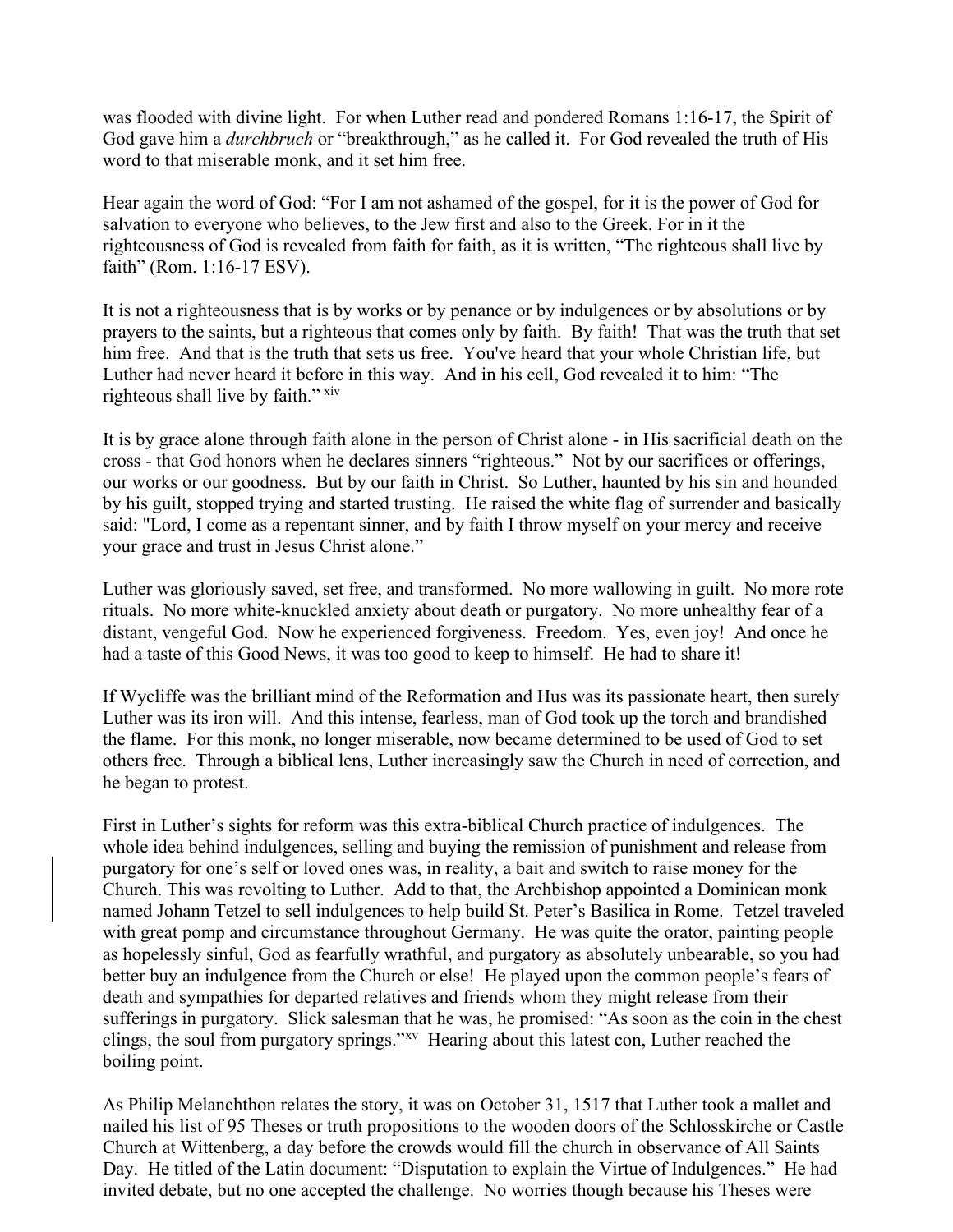was flooded with divine light. For when Luther read and pondered Romans 1:16-17, the Spirit of God gave him a *durchbruch* or "breakthrough," as he called it. For God revealed the truth of His word to that miserable monk, and it set him free.

Hear again the word of God: "For I am not ashamed of the gospel, for it is the power of God for salvation to everyone who believes, to the Jew first and also to the Greek. For in it the righteousness of God is revealed from faith for faith, as it is written, "The righteous shall live by faith" (Rom. 1:16-17 ESV).

It is not a righteousness that is by works or by penance or by indulgences or by absolutions or by prayers to the saints, but a righteous that comes only by faith. By faith! That was the truth that set him free. And that is the truth that sets us free. You've heard that your whole Christian life, but Luther had never heard it before in this way. And in his cell, God revealed it to him: "The righteous shall live by faith." xiv

It is by grace alone through faith alone in the person of Christ alone - in His sacrificial death on the cross - that God honors when he declares sinners "righteous." Not by our sacrifices or offerings, our works or our goodness. But by our faith in Christ. So Luther, haunted by his sin and hounded by his guilt, stopped trying and started trusting. He raised the white flag of surrender and basically said: "Lord, I come as a repentant sinner, and by faith I throw myself on your mercy and receive your grace and trust in Jesus Christ alone."

Luther was gloriously saved, set free, and transformed. No more wallowing in guilt. No more rote rituals. No more white-knuckled anxiety about death or purgatory. No more unhealthy fear of a distant, vengeful God. Now he experienced forgiveness. Freedom. Yes, even joy! And once he had a taste of this Good News, it was too good to keep to himself. He had to share it!

If Wycliffe was the brilliant mind of the Reformation and Hus was its passionate heart, then surely Luther was its iron will. And this intense, fearless, man of God took up the torch and brandished the flame. For this monk, no longer miserable, now became determined to be used of God to set others free. Through a biblical lens, Luther increasingly saw the Church in need of correction, and he began to protest.

First in Luther's sights for reform was this extra-biblical Church practice of indulgences. The whole idea behind indulgences, selling and buying the remission of punishment and release from purgatory for one's self or loved ones was, in reality, a bait and switch to raise money for the Church. This was revolting to Luther. Add to that, the Archbishop appointed a Dominican monk named Johann Tetzel to sell indulgences to help build St. Peter's Basilica in Rome. Tetzel traveled with great pomp and circumstance throughout Germany. He was quite the orator, painting people as hopelessly sinful, God as fearfully wrathful, and purgatory as absolutely unbearable, so you had better buy an indulgence from the Church or else! He played upon the common people's fears of death and sympathies for departed relatives and friends whom they might release from their sufferings in purgatory. Slick salesman that he was, he promised: "As soon as the coin in the chest clings, the soul from purgatory springs."[xv](#page-12-6) Hearing about this latest con, Luther reached the boiling point.

As Philip Melanchthon relates the story, it was on October 31, 1517 that Luther took a mallet and nailed his list of 95 Theses or truth propositions to the wooden doors of the Schlosskirche or Castle Church at Wittenberg, a day before the crowds would fill the church in observance of All Saints Day. He titled of the Latin document: "Disputation to explain the Virtue of Indulgences." He had invited debate, but no one accepted the challenge. No worries though because his Theses were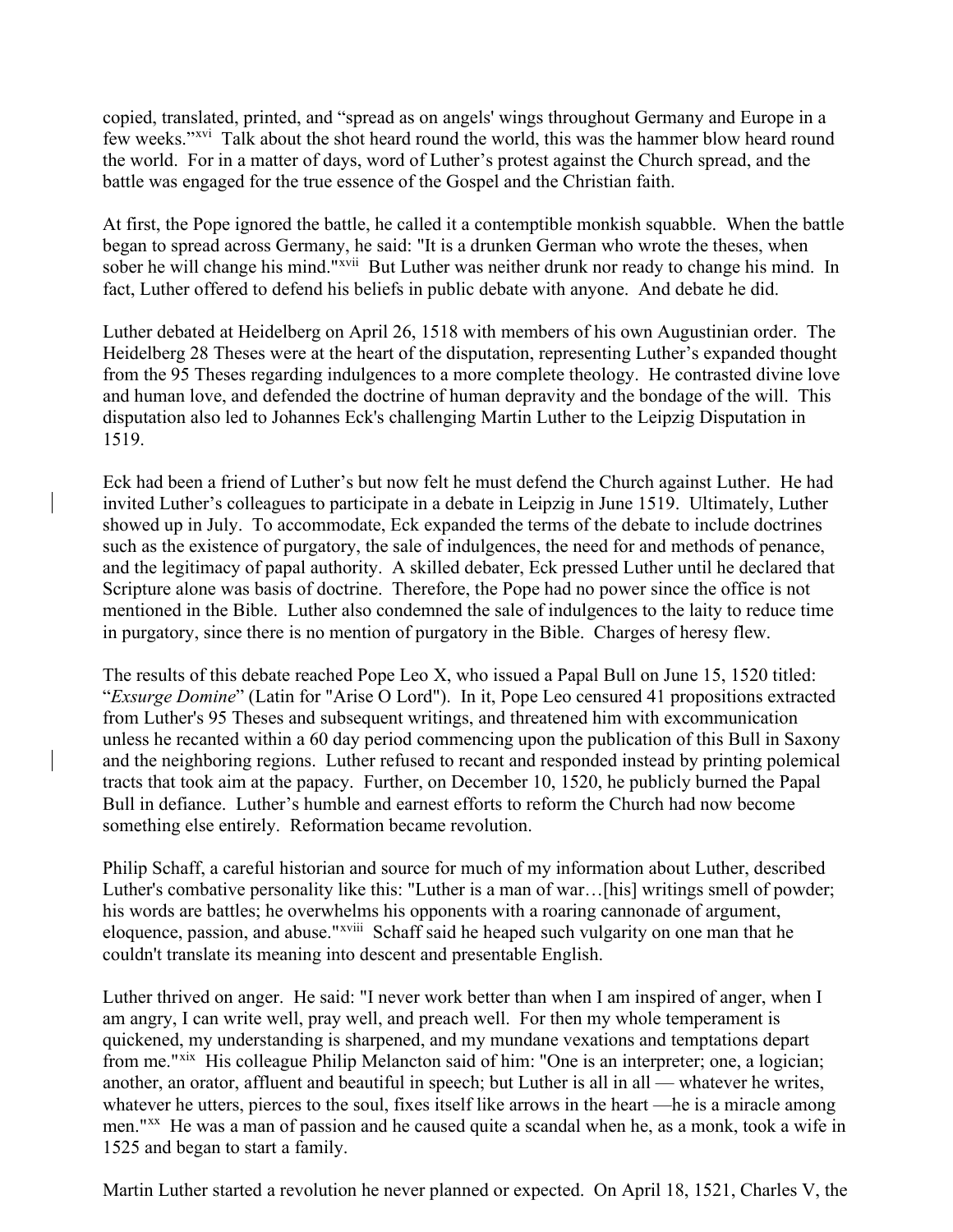copied, translated, printed, and "spread as on angels' wings throughout Germany and Europe in a few weeks."[xvi](#page-12-7) Talk about the shot heard round the world, this was the hammer blow heard round the world. For in a matter of days, word of Luther's protest against the Church spread, and the battle was engaged for the true essence of the Gospel and the Christian faith.

At first, the Pope ignored the battle, he called it a contemptible monkish squabble. When the battle began to spread across Germany, he said: "It is a drunken German who wrote the theses, when sober he will change his mind."<sup>xvii</sup> But Luther was neither drunk nor ready to change his mind. In fact, Luther offered to defend his beliefs in public debate with anyone. And debate he did.

Luther debated at Heidelberg on April 26, 1518 with members of his own Augustinian order. The Heidelberg 28 Theses were at the heart of the disputation, representing Luther's expanded thought from the 95 Theses regarding indulgences to a more complete theology. He contrasted divine love and human love, and defended the doctrine of human depravity and the bondage of the will. This disputation also led to Johannes Eck's challenging Martin Luther to the Leipzig Disputation in 1519.

Eck had been a friend of Luther's but now felt he must defend the Church against Luther. He had invited Luther's colleagues to participate in a debate in Leipzig in June 1519. Ultimately, Luther showed up in July. To accommodate, Eck expanded the terms of the debate to include doctrines such as the existence of purgatory, the sale of indulgences, the need for and methods of penance, and the legitimacy of papal authority. A skilled debater, Eck pressed Luther until he declared that Scripture alone was basis of doctrine. Therefore, the Pope had no power since the office is not mentioned in the Bible. Luther also condemned the sale of indulgences to the laity to reduce time in purgatory, since there is no mention of purgatory in the Bible. Charges of heresy flew.

The results of this debate reached Pope Leo X, who issued a Papal Bull on June 15, 1520 titled: "*Exsurge Domine*" (Latin for "Arise O Lord"). In it, Pope Leo censured 41 propositions extracted from Luther's 95 Theses and subsequent writings, and threatened him with excommunication unless he recanted within a 60 day period commencing upon the publication of this Bull in Saxony and the neighboring regions. Luther refused to recant and responded instead by printing polemical tracts that took aim at the papacy. Further, on December 10, 1520, he publicly burned the Papal Bull in defiance. Luther's humble and earnest efforts to reform the Church had now become something else entirely. Reformation became revolution.

Philip Schaff, a careful historian and source for much of my information about Luther, described Luther's combative personality like this: "Luther is a man of war…[his] writings smell of powder; his words are battles; he overwhelms his opponents with a roaring cannonade of argument, eloquence, passion, and abuse."xviii [S](#page-12-9)chaff said he heaped such vulgarity on one man that he couldn't translate its meaning into descent and presentable English.

Luther thrived on anger. He said: "I never work better than when I am inspired of anger, when I am angry, I can write well, pray well, and preach well. For then my whole temperament is quickened, my understanding is sharpened, and my mundane vexations and temptations depart from me."[xix](#page-12-10) His colleague Philip Melancton said of him: "One is an interpreter; one, a logician; another, an orator, affluent and beautiful in speech; but Luther is all in all — whatever he writes, whatever he utters, pierces to the soul, fixes itself like arrows in the heart —he is a miracle among men."<sup>[xx](#page-12-11)</sup> He was a man of passion and he caused quite a scandal when he, as a monk, took a wife in 1525 and began to start a family.

Martin Luther started a revolution he never planned or expected. On April 18, 1521, Charles V, the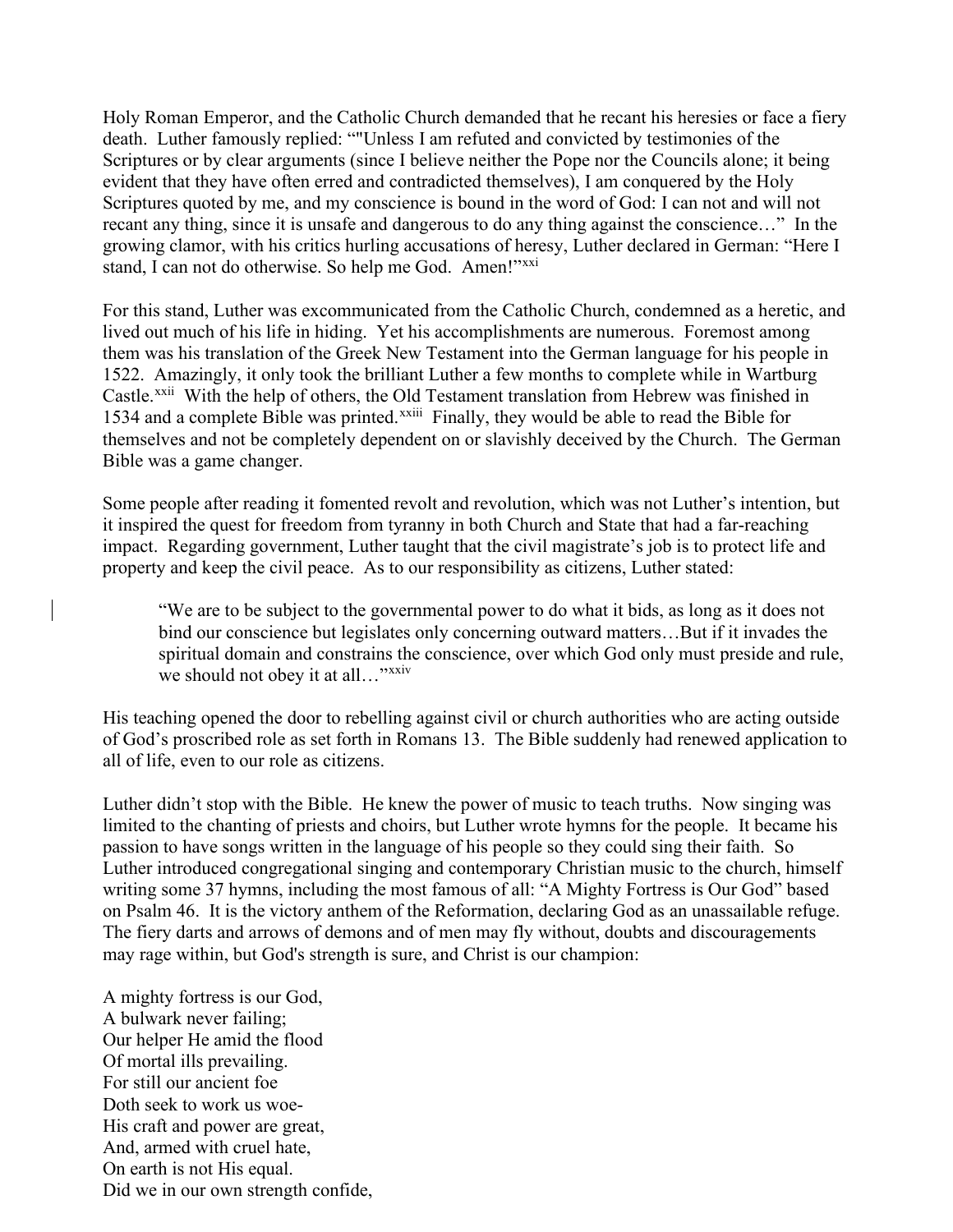Holy Roman Emperor, and the Catholic Church demanded that he recant his heresies or face a fiery death. Luther famously replied: ""Unless I am refuted and convicted by testimonies of the Scriptures or by clear arguments (since I believe neither the Pope nor the Councils alone; it being evident that they have often erred and contradicted themselves), I am conquered by the Holy Scriptures quoted by me, and my conscience is bound in the word of God: I can not and will not recant any thing, since it is unsafe and dangerous to do any thing against the conscience…" In the growing clamor, with his critics hurling accusations of heresy, Luther declared in German: "Here I stand, I can not do otherwise. So help me God. Amen!"[xxi](#page-12-12)

For this stand, Luther was excommunicated from the Catholic Church, condemned as a heretic, and lived out much of his life in hiding. Yet his accomplishments are numerous. Foremost among them was his translation of the Greek New Testament into the German language for his people in 1522. Amazingly, it only took the brilliant Luther a few months to complete while in Wartburg Castle.<sup>[xxii](#page-12-13)</sup> With the help of others, the Old Testament translation from Hebrew was finished in 1534 and a complete Bible was printed.<sup>xxiii</sup> [F](#page-12-14)inally, they would be able to read the Bible for themselves and not be completely dependent on or slavishly deceived by the Church. The German Bible was a game changer.

Some people after reading it fomented revolt and revolution, which was not Luther's intention, but it inspired the quest for freedom from tyranny in both Church and State that had a far-reaching impact. Regarding government, Luther taught that the civil magistrate's job is to protect life and property and keep the civil peace. As to our responsibility as citizens, Luther stated:

"We are to be subject to the governmental power to do what it bids, as long as it does not bind our conscience but legislates only concerning outward matters…But if it invades the spiritual domain and constrains the conscience, over which God only must preside and rule, we should not obey it at all..."<sup>[xxiv](#page-12-15)</sup>

His teaching opened the door to rebelling against civil or church authorities who are acting outside of God's proscribed role as set forth in Romans 13. The Bible suddenly had renewed application to all of life, even to our role as citizens.

Luther didn't stop with the Bible. He knew the power of music to teach truths. Now singing was limited to the chanting of priests and choirs, but Luther wrote hymns for the people. It became his passion to have songs written in the language of his people so they could sing their faith. So Luther introduced congregational singing and contemporary Christian music to the church, himself writing some 37 hymns, including the most famous of all: "A Mighty Fortress is Our God" based on Psalm 46. It is the victory anthem of the Reformation, declaring God as an unassailable refuge. The fiery darts and arrows of demons and of men may fly without, doubts and discouragements may rage within, but God's strength is sure, and Christ is our champion:

A mighty fortress is our God, A bulwark never failing; Our helper He amid the flood Of mortal ills prevailing. For still our ancient foe Doth seek to work us woe-His craft and power are great, And, armed with cruel hate, On earth is not His equal. Did we in our own strength confide,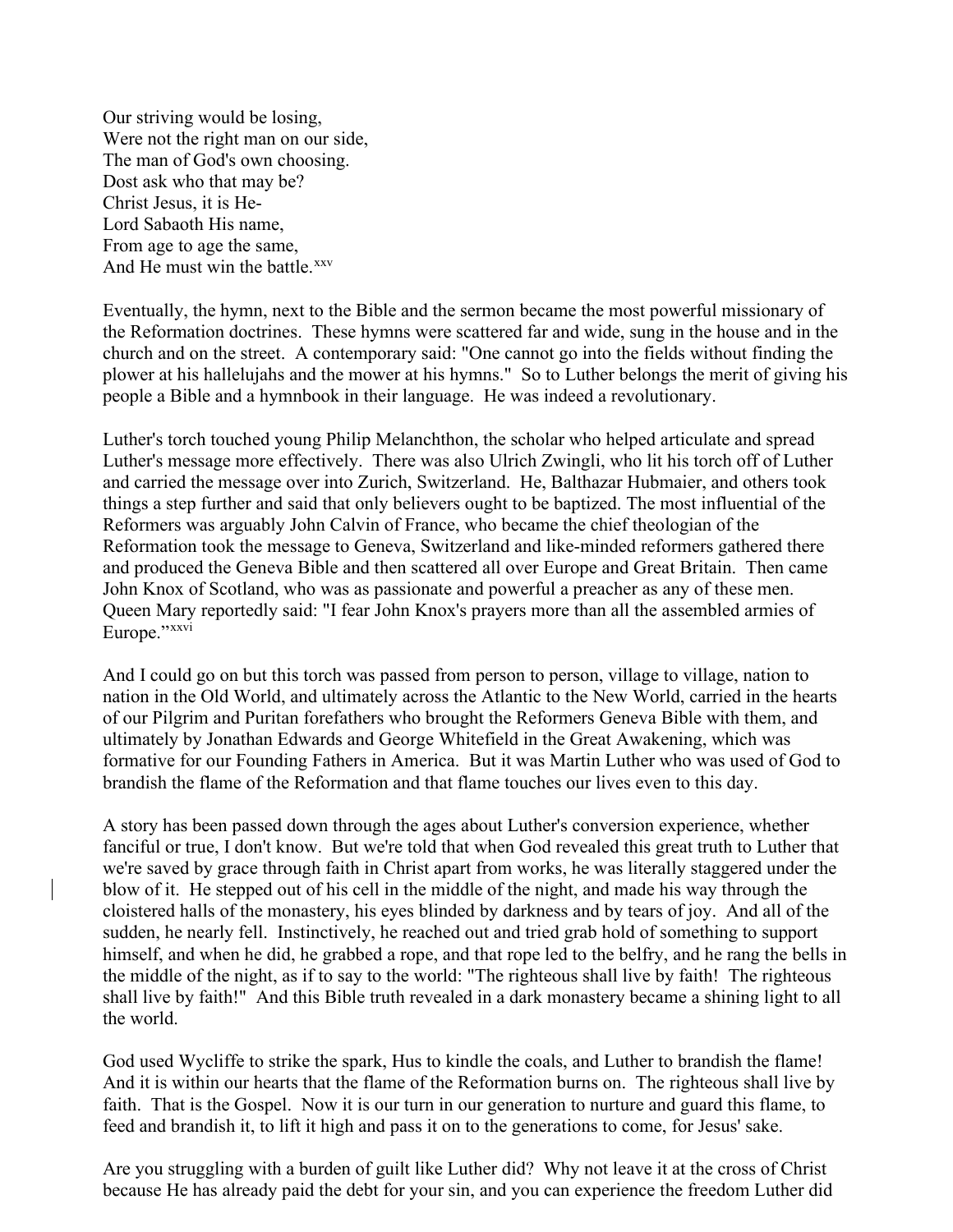Our striving would be losing, Were not the right man on our side, The man of God's own choosing. Dost ask who that may be? Christ Jesus, it is He-Lord Sabaoth His name, From age to age the same, And He must win the battle.<sup>[xxv](#page-12-16)</sup>

Eventually, the hymn, next to the Bible and the sermon became the most powerful missionary of the Reformation doctrines. These hymns were scattered far and wide, sung in the house and in the church and on the street. A contemporary said: "One cannot go into the fields without finding the plower at his hallelujahs and the mower at his hymns." So to Luther belongs the merit of giving his people a Bible and a hymnbook in their language. He was indeed a revolutionary.

Luther's torch touched young Philip Melanchthon, the scholar who helped articulate and spread Luther's message more effectively. There was also Ulrich Zwingli, who lit his torch off of Luther and carried the message over into Zurich, Switzerland. He, Balthazar Hubmaier, and others took things a step further and said that only believers ought to be baptized. The most influential of the Reformers was arguably John Calvin of France, who became the chief theologian of the Reformation took the message to Geneva, Switzerland and like-minded reformers gathered there and produced the Geneva Bible and then scattered all over Europe and Great Britain. Then came John Knox of Scotland, who was as passionate and powerful a preacher as any of these men. Queen Mary reportedly said: "I fear John Knox's prayers more than all the assembled armies of Europe."[xxvi](#page-12-17)

And I could go on but this torch was passed from person to person, village to village, nation to nation in the Old World, and ultimately across the Atlantic to the New World, carried in the hearts of our Pilgrim and Puritan forefathers who brought the Reformers Geneva Bible with them, and ultimately by Jonathan Edwards and George Whitefield in the Great Awakening, which was formative for our Founding Fathers in America. But it was Martin Luther who was used of God to brandish the flame of the Reformation and that flame touches our lives even to this day.

A story has been passed down through the ages about Luther's conversion experience, whether fanciful or true, I don't know. But we're told that when God revealed this great truth to Luther that we're saved by grace through faith in Christ apart from works, he was literally staggered under the blow of it. He stepped out of his cell in the middle of the night, and made his way through the cloistered halls of the monastery, his eyes blinded by darkness and by tears of joy. And all of the sudden, he nearly fell. Instinctively, he reached out and tried grab hold of something to support himself, and when he did, he grabbed a rope, and that rope led to the belfry, and he rang the bells in the middle of the night, as if to say to the world: "The righteous shall live by faith! The righteous shall live by faith!" And this Bible truth revealed in a dark monastery became a shining light to all the world.

God used Wycliffe to strike the spark, Hus to kindle the coals, and Luther to brandish the flame! And it is within our hearts that the flame of the Reformation burns on. The righteous shall live by faith. That is the Gospel. Now it is our turn in our generation to nurture and guard this flame, to feed and brandish it, to lift it high and pass it on to the generations to come, for Jesus' sake.

Are you struggling with a burden of guilt like Luther did? Why not leave it at the cross of Christ because He has already paid the debt for your sin, and you can experience the freedom Luther did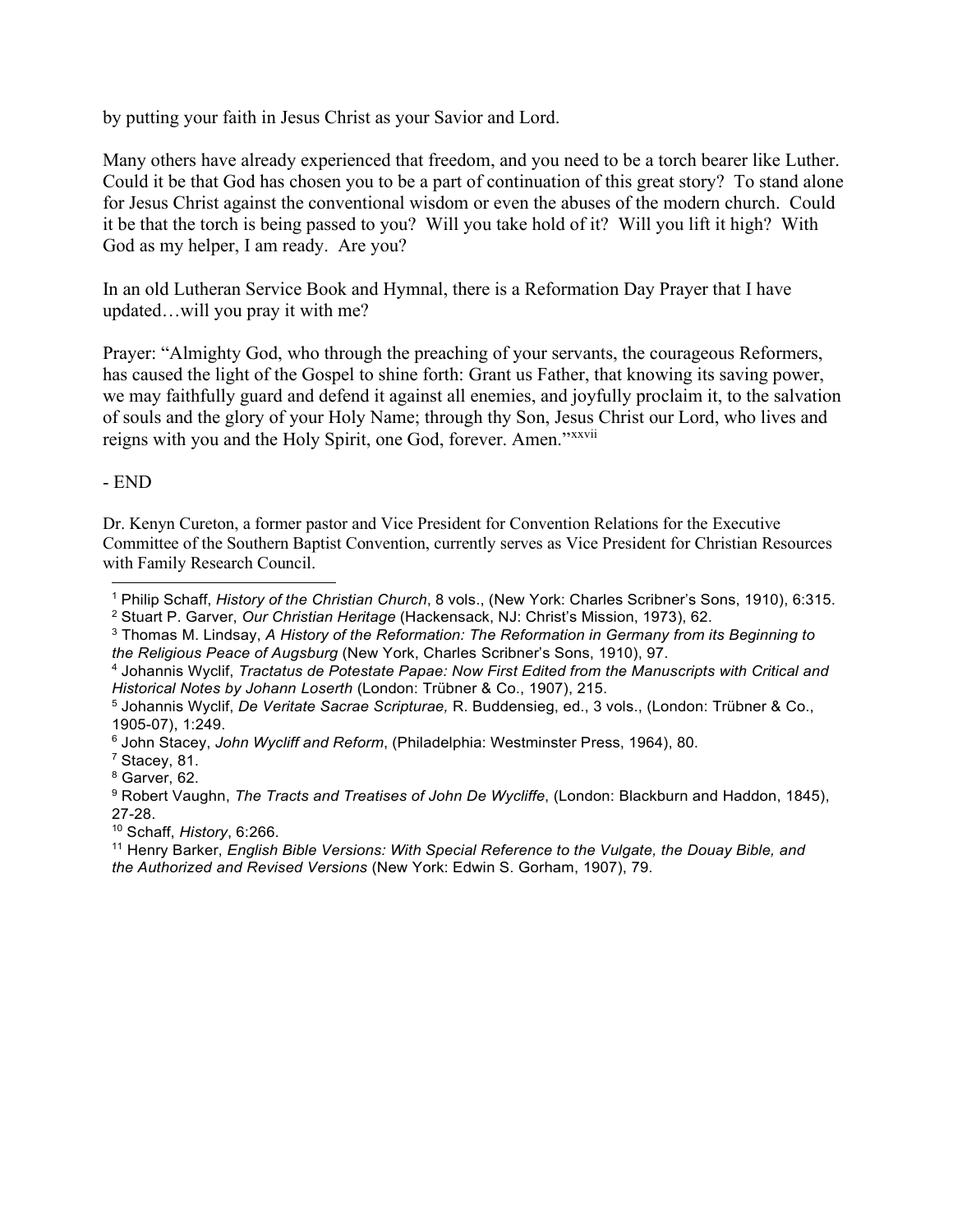by putting your faith in Jesus Christ as your Savior and Lord.

Many others have already experienced that freedom, and you need to be a torch bearer like Luther. Could it be that God has chosen you to be a part of continuation of this great story? To stand alone for Jesus Christ against the conventional wisdom or even the abuses of the modern church. Could it be that the torch is being passed to you? Will you take hold of it? Will you lift it high? With God as my helper, I am ready. Are you?

In an old Lutheran Service Book and Hymnal, there is a Reformation Day Prayer that I have updated…will you pray it with me?

Prayer: "Almighty God, who through the preaching of your servants, the courageous Reformers, has caused the light of the Gospel to shine forth: Grant us Father, that knowing its saving power, we may faithfully guard and defend it against all enemies, and joyfully proclaim it, to the salvation of souls and the glory of your Holy Name; through thy Son, Jesus [C](#page-12-18)hrist our Lord, who lives and reigns with you and the Holy Spirit, one God, forever. Amen."*xxxvii* 

- END

Dr. Kenyn Cureton, a former pastor and Vice President for Convention Relations for the Executive Committee of the Southern Baptist Convention, currently serves as Vice President for Christian Resources with Family Research Council.

<sup>1</sup> Philip Schaff, *History of the Christian Church*, 8 vols., (New York: Charles Scribner's Sons, 1910), 6:315.

<sup>2</sup> Stuart P. Garver, *Our Christian Heritage* (Hackensack, NJ: Christ's Mission, 1973), 62.

<sup>3</sup> Thomas M. Lindsay, *A History of the Reformation: The Reformation in Germany from its Beginning to the Religious Peace of Augsburg* (New York, Charles Scribner's Sons, 1910), 97.

<sup>4</sup> Johannis Wyclif, *Tractatus de Potestate Papae: Now First Edited from the Manuscripts with Critical and Historical Notes by Johann Loserth* (London: Trübner & Co., 1907), 215.

<sup>5</sup> Johannis Wyclif, *De Veritate Sacrae Scripturae,* R. Buddensieg, ed., 3 vols., (London: Trübner & Co., 1905-07), 1:249.

<sup>6</sup> John Stacey, *John Wycliff and Reform*, (Philadelphia: Westminster Press, 1964), 80.

 $<sup>7</sup>$  Stacey, 81.</sup>

 $8$  Garver, 62.

<sup>9</sup> Robert Vaughn, *The Tracts and Treatises of John De Wycliffe*, (London: Blackburn and Haddon, 1845), 27-28.

<sup>10</sup> Schaff, *History*, 6:266.

<sup>11</sup> Henry Barker, *English Bible Versions: With Special Reference to the Vulgate, the Douay Bible, and the Authorized and Revised Versions* (New York: Edwin S. Gorham, 1907), 79.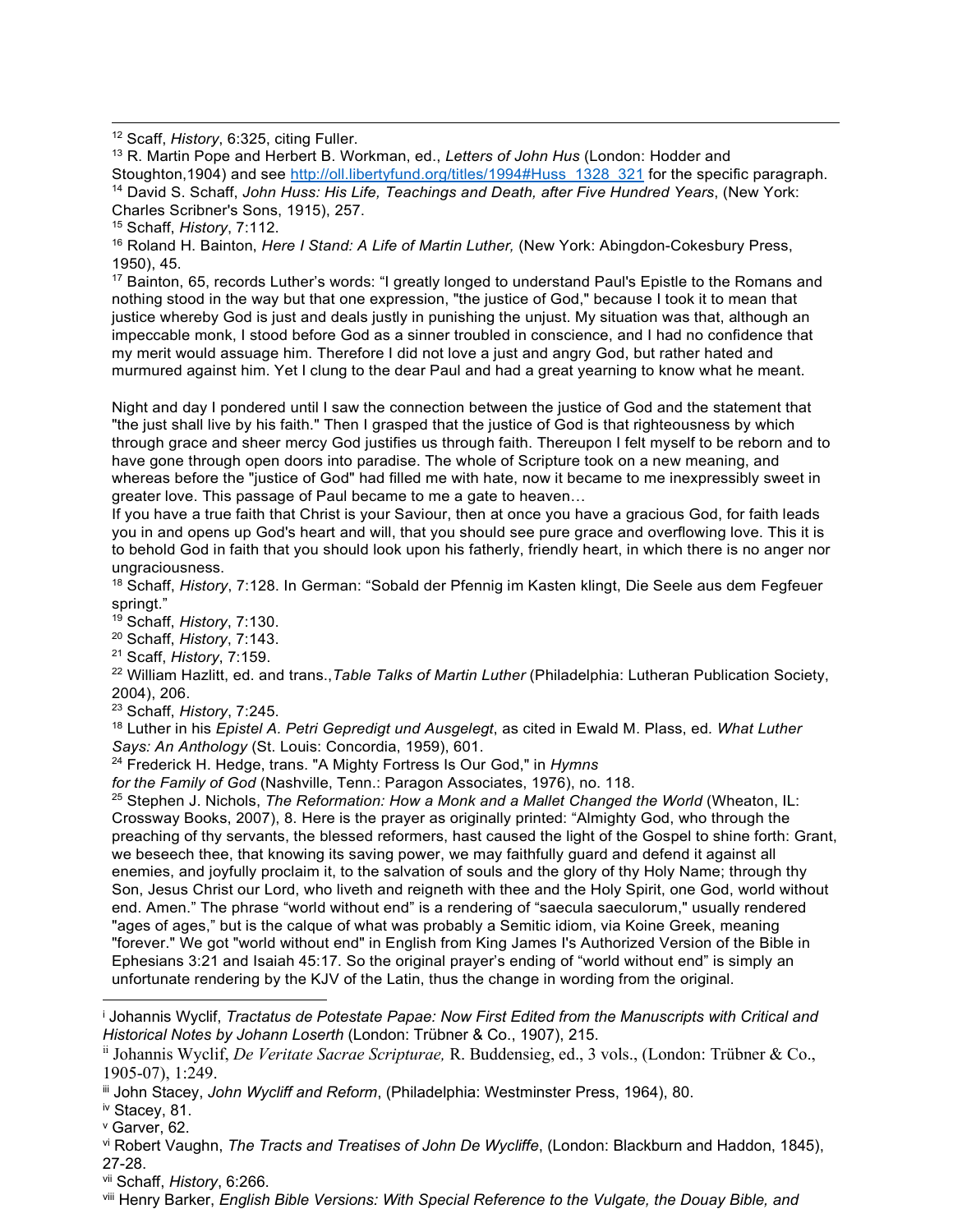<sup>15</sup> Schaff, *History*, 7:112.

<sup>16</sup> Roland H. Bainton, *Here I Stand: A Life of Martin Luther,* (New York: Abingdon-Cokesbury Press, 1950), 45.

<sup>17</sup> Bainton, 65, records Luther's words: "I greatly longed to understand Paul's Epistle to the Romans and nothing stood in the way but that one expression, "the justice of God," because I took it to mean that justice whereby God is just and deals justly in punishing the unjust. My situation was that, although an impeccable monk, I stood before God as a sinner troubled in conscience, and I had no confidence that my merit would assuage him. Therefore I did not love a just and angry God, but rather hated and murmured against him. Yet I clung to the dear Paul and had a great yearning to know what he meant.

Night and day I pondered until I saw the connection between the justice of God and the statement that "the just shall live by his faith." Then I grasped that the justice of God is that righteousness by which through grace and sheer mercy God justifies us through faith. Thereupon I felt myself to be reborn and to have gone through open doors into paradise. The whole of Scripture took on a new meaning, and whereas before the "justice of God" had filled me with hate, now it became to me inexpressibly sweet in greater love. This passage of Paul became to me a gate to heaven…

If you have a true faith that Christ is your Saviour, then at once you have a gracious God, for faith leads you in and opens up God's heart and will, that you should see pure grace and overflowing love. This it is to behold God in faith that you should look upon his fatherly, friendly heart, in which there is no anger nor ungraciousness.

<sup>18</sup> Schaff, *History*, 7:128. In German: "Sobald der Pfennig im Kasten klingt, Die Seele aus dem Fegfeuer springt."

<sup>19</sup> Schaff, *History*, 7:130.

- <sup>20</sup> Schaff, *History*, 7:143.
- <sup>21</sup> Scaff, *History*, 7:159.

<sup>22</sup> William Hazlitt, ed. and trans.,*Table Talks of Martin Luther* (Philadelphia: Lutheran Publication Society, 2004), 206.

<sup>23</sup> Schaff, *History*, 7:245.

<sup>18</sup> Luther in his *Epistel A. Petri Gepredigt und Ausgelegt*, as cited in Ewald M. Plass, ed*. What Luther Says: An Anthology* (St. Louis: Concordia, 1959), 601.

<sup>24</sup> Frederick H. Hedge, trans. "A Mighty Fortress Is Our God," in *Hymns*

*for the Family of God* (Nashville, Tenn.: Paragon Associates, 1976), no. 118.

<sup>25</sup> Stephen J. Nichols, *The Reformation: How a Monk and a Mallet Changed the World* (Wheaton, IL: Crossway Books, 2007), 8. Here is the prayer as originally printed: "Almighty God, who through the preaching of thy servants, the blessed reformers, hast caused the light of the Gospel to shine forth: Grant, we beseech thee, that knowing its saving power, we may faithfully guard and defend it against all enemies, and joyfully proclaim it, to the salvation of souls and the glory of thy Holy Name; through thy Son, Jesus Christ our Lord, who liveth and reigneth with thee and the Holy Spirit, one God, world without end. Amen." The phrase "world without end" is a rendering of "saecula saeculorum," usually rendered "ages of ages," but is the calque of what was probably a Semitic idiom, via Koine Greek, meaning "forever." We got "world without end" in English from King James I's Authorized Version of the Bible in Ephesians 3:21 and Isaiah 45:17. So the original prayer's ending of "world without end" is simply an unfortunate rendering by the KJV of the Latin, thus the change in wording from the original.

vii Schaff, *History*, 6:266.

viii Henry Barker, *English Bible Versions: With Special Reference to the Vulgate, the Douay Bible, and*

<sup>12</sup> Scaff, *History*, 6:325, citing Fuller.

<sup>13</sup> R. Martin Pope and Herbert B. Workman, ed., *Letters of John Hus* (London: Hodder and Stoughton,1904) and see [http://oll.libertyfund.org/titles/1994#Huss\\_1328\\_321](http://oll.libertyfund.org/titles/1994#Huss_1328_321) for the specific paragraph. <sup>14</sup> David S. Schaff, *John Huss: His Life, Teachings and Death, after Five Hundred Years*, (New York: Charles Scribner's Sons, 1915), 257.

<sup>i</sup> Johannis Wyclif, *Tractatus de Potestate Papae: Now First Edited from the Manuscripts with Critical and Historical Notes by Johann Loserth* (London: Trübner & Co., 1907), 215.

ii Johannis Wyclif, *De Veritate Sacrae Scripturae,* R. Buddensieg, ed., 3 vols., (London: Trübner & Co., 1905-07), 1:249.

iii John Stacey, *John Wycliff and Reform*, (Philadelphia: Westminster Press, 1964), 80.

iv Stacey, 81.

<sup>v</sup> Garver, 62.

vi Robert Vaughn, *The Tracts and Treatises of John De Wycliffe*, (London: Blackburn and Haddon, 1845), 27-28.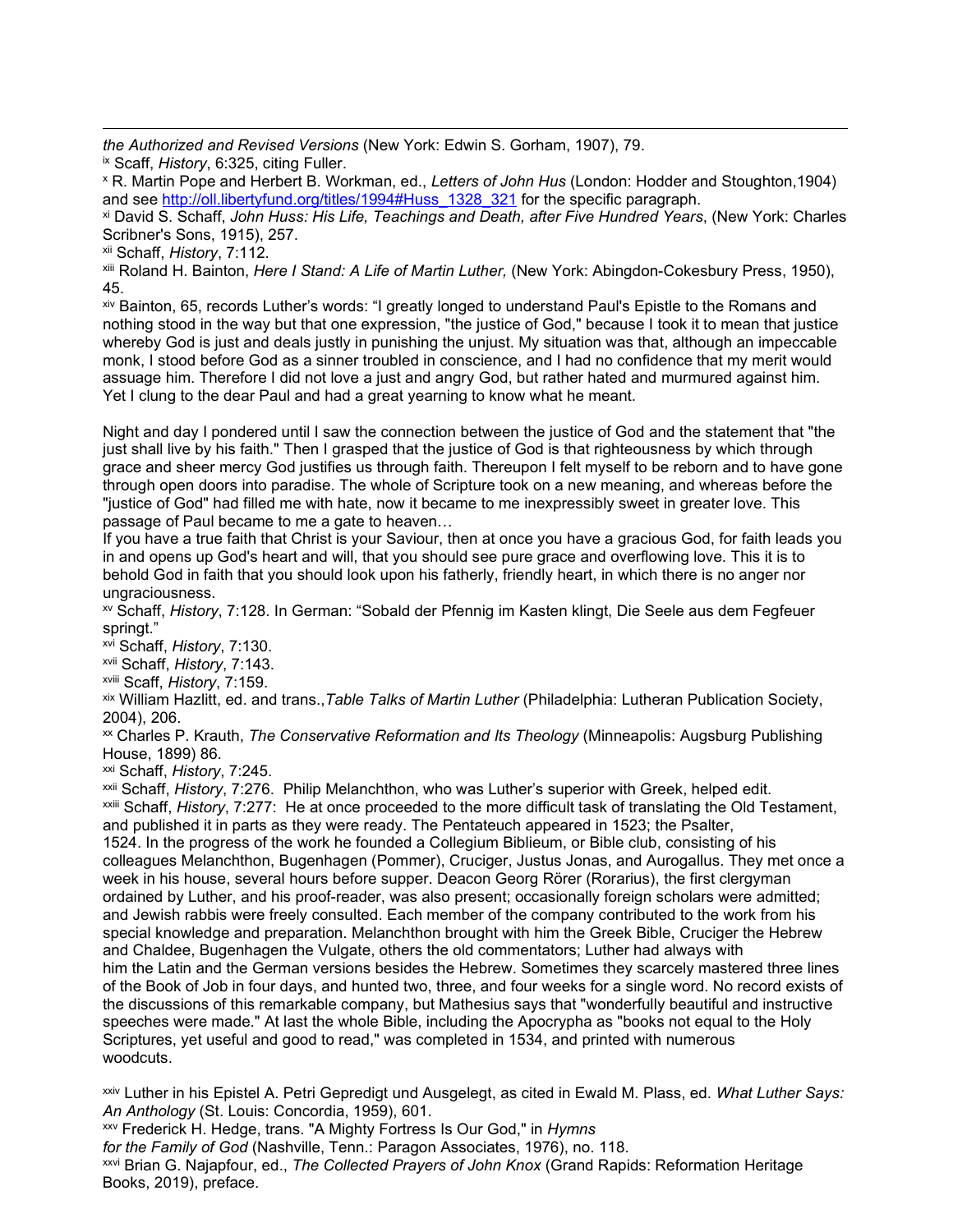*the Authorized and Revised Versions* (New York: Edwin S. Gorham, 1907), 79.

ix Scaff, *History*, 6:325, citing Fuller.

<sup>x</sup> R. Martin Pope and Herbert B. Workman, ed., *Letters of John Hus* (London: Hodder and Stoughton,1904) and see [http://oll.libertyfund.org/titles/1994#Huss\\_1328\\_321](http://oll.libertyfund.org/titles/1994#Huss_1328_321) for the specific paragraph.

xi David S. Schaff, *John Huss: His Life, Teachings and Death, after Five Hundred Years*, (New York: Charles Scribner's Sons, 1915), 257.

xii Schaff, *History*, 7:112.

xiii Roland H. Bainton, *Here I Stand: A Life of Martin Luther,* (New York: Abingdon-Cokesbury Press, 1950), 45.

xiv Bainton, 65, records Luther's words: "I greatly longed to understand Paul's Epistle to the Romans and nothing stood in the way but that one expression, "the justice of God," because I took it to mean that justice whereby God is just and deals justly in punishing the unjust. My situation was that, although an impeccable monk, I stood before God as a sinner troubled in conscience, and I had no confidence that my merit would assuage him. Therefore I did not love a just and angry God, but rather hated and murmured against him. Yet I clung to the dear Paul and had a great yearning to know what he meant.

Night and day I pondered until I saw the connection between the justice of God and the statement that "the just shall live by his faith." Then I grasped that the justice of God is that righteousness by which through grace and sheer mercy God justifies us through faith. Thereupon I felt myself to be reborn and to have gone through open doors into paradise. The whole of Scripture took on a new meaning, and whereas before the "justice of God" had filled me with hate, now it became to me inexpressibly sweet in greater love. This passage of Paul became to me a gate to heaven…

If you have a true faith that Christ is your Saviour, then at once you have a gracious God, for faith leads you in and opens up God's heart and will, that you should see pure grace and overflowing love. This it is to behold God in faith that you should look upon his fatherly, friendly heart, in which there is no anger nor ungraciousness.

xv Schaff, *History*, 7:128. In German: "Sobald der Pfennig im Kasten klingt, Die Seele aus dem Fegfeuer springt."

xvi Schaff, *History*, 7:130.

xvii Schaff, *History*, 7:143.

xviii Scaff, *History*, 7:159.

xix William Hazlitt, ed. and trans.,*Table Talks of Martin Luther* (Philadelphia: Lutheran Publication Society, 2004), 206.

xx Charles P. Krauth, *The Conservative Reformation and Its Theology* (Minneapolis: Augsburg Publishing House, 1899) 86.

xxi Schaff, *History*, 7:245.

xxii Schaff, *History*, 7:276. Philip Melanchthon, who was Luther's superior with Greek, helped edit. xxiii Schaff, *History*, 7:277: He at once proceeded to the more difficult task of translating the Old Testament, and published it in parts as they were ready. The Pentateuch appeared in 1523; the Psalter, 1524. In the progress of the work he founded a Collegium Biblieum, or Bible club, consisting of his colleagues Melanchthon, Bugenhagen (Pommer), Cruciger, Justus Jonas, and Aurogallus. They met once a week in his house, several hours before supper. Deacon Georg Rörer (Rorarius), the first clergyman ordained by Luther, and his proof-reader, was also present; occasionally foreign scholars were admitted; and Jewish rabbis were freely consulted. Each member of the company contributed to the work from his special knowledge and preparation. Melanchthon brought with him the Greek Bible, Cruciger the Hebrew and Chaldee, Bugenhagen the Vulgate, others the old commentators; Luther had always with him the Latin and the German versions besides the Hebrew. Sometimes they scarcely mastered three lines of the Book of Job in four days, and hunted two, three, and four weeks for a single word. No record exists of the discussions of this remarkable company, but Mathesius says that "wonderfully beautiful and instructive speeches were made." At last the whole Bible, including the Apocrypha as "books not equal to the Holy Scriptures, yet useful and good to read," was completed in 1534, and printed with numerous woodcuts.

<span id="page-11-3"></span><span id="page-11-2"></span><span id="page-11-1"></span><span id="page-11-0"></span>xxiv Luther in his Epistel A. Petri Gepredigt und Ausgelegt, as cited in Ewald M. Plass, ed. *What Luther Says: An Anthology* (St. Louis: Concordia, 1959), 601.

<span id="page-11-7"></span><span id="page-11-6"></span><span id="page-11-5"></span><span id="page-11-4"></span>xxv Frederick H. Hedge, trans. "A Mighty Fortress Is Our God," in *Hymns for the Family of God* (Nashville, Tenn.: Paragon Associates, 1976), no. 118. xxvi Brian G. Najapfour, ed., *The Collected Prayers of John Knox* (Grand Rapids: Reformation Heritage Books, 2019), preface.